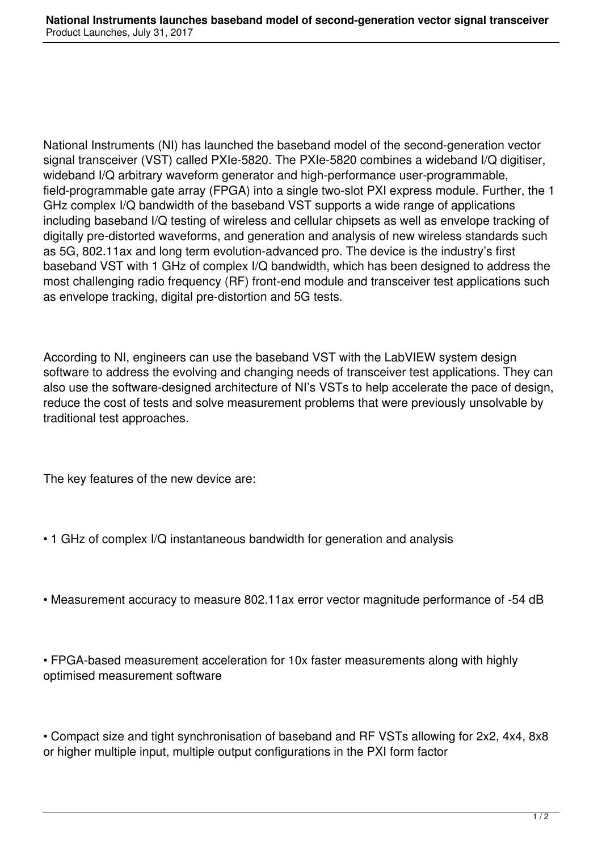National Instruments (NI) has launched the baseband model of the second-generation vector signal transceiver (VST) called PXIe-5820. The PXIe-5820 combines a wideband I/Q digitiser, wideband I/Q arbitrary waveform generator and high-performance user-programmable, field-programmable gate array (FPGA) into a single two-slot PXI express module. Further, the 1 GHz complex I/Q bandwidth of the baseband VST supports a wide range of applications including baseband I/Q testing of wireless and cellular chipsets as well as envelope tracking of digitally pre-distorted waveforms, and generation and analysis of new wireless standards such as 5G, 802.11ax and long term evolution-advanced pro. The device is the industry's first baseband VST with 1 GHz of complex I/Q bandwidth, which has been designed to address the most challenging radio frequency (RF) front-end module and transceiver test applications such as envelope tracking, digital pre-distortion and 5G tests.

According to NI, engineers can use the baseband VST with the LabVIEW system design software to address the evolving and changing needs of transceiver test applications. They can also use the software-designed architecture of NI's VSTs to help accelerate the pace of design, reduce the cost of tests and solve measurement problems that were previously unsolvable by traditional test approaches.

The key features of the new device are:

- 1 GHz of complex I/Q instantaneous bandwidth for generation and analysis
- Measurement accuracy to measure 802.11ax error vector magnitude performance of -54 dB

• FPGA-based measurement acceleration for 10x faster measurements along with highly optimised measurement software

• Compact size and tight synchronisation of baseband and RF VSTs allowing for 2x2, 4x4, 8x8 or higher multiple input, multiple output configurations in the PXI form factor